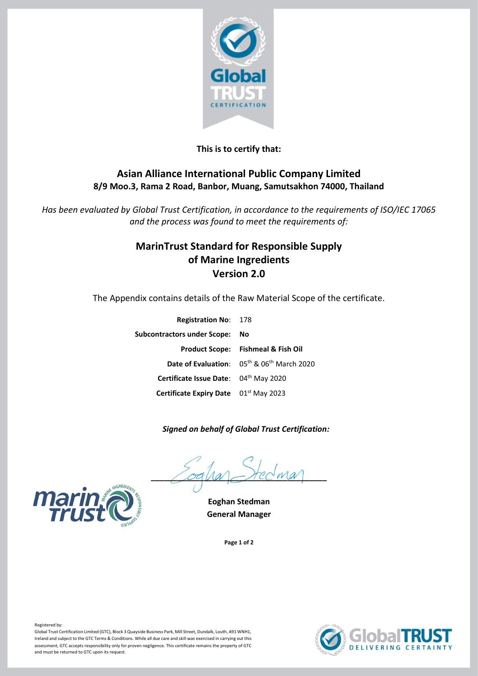

### **This is to certify that:**

## **Asian Alliance International Public Company Limited 8/9 Moo.3, Rama 2 Road, Banbor, Muang, Samutsakhon 74000, Thailand**

*Has been evaluated by Global Trust Certification, in accordance to the requirements of ISO/IEC 17065 and the process was found to meet the requirements of:*

## **MarinTrust Standard for Responsible Supply of Marine Ingredients Version 2.0**

The Appendix contains details of the Raw Material Scope of the certificate.

| <b>Registration No: 178</b>           |                                                                    |
|---------------------------------------|--------------------------------------------------------------------|
| Subcontractors under Scope:           | - No                                                               |
|                                       | <b>Product Scope: Fishmeal &amp; Fish Oil</b>                      |
|                                       | Date of Evaluation: 05 <sup>th</sup> & 06 <sup>th</sup> March 2020 |
| Certificate Issue Date: 04th May 2020 |                                                                    |
| Certificate Expiry Date 01st May 2023 |                                                                    |

#### *Signed on behalf of Global Trust Certification:*

 $\angle$ oqua $\angle$ rec $w$ a



**General Manager**

**Page 1 of 2**





Registered by:

Global Trust Certification Limited (GTC), Block 3 Quayside Business Park, Mill Street, Dundalk, Louth, A91 WNH1, Ireland and subject to the GTC Terms & Conditions. While all due care and skill was exercised in carrying out this assessment, GTC accepts responsibility only for proven negligence. This certificate remains the property of GTC and must be returned to GTC upon its request.